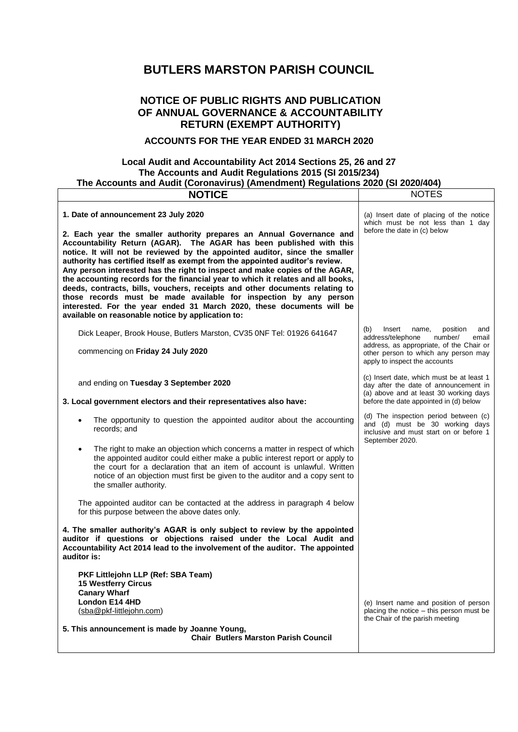# **BUTLERS MARSTON PARISH COUNCIL**

## **NOTICE OF PUBLIC RIGHTS AND PUBLICATION OF ANNUAL GOVERNANCE & ACCOUNTABILITY RETURN (EXEMPT AUTHORITY)**

### **ACCOUNTS FOR THE YEAR ENDED 31 MARCH 2020**

### **Local Audit and Accountability Act 2014 Sections 25, 26 and 27 The Accounts and Audit Regulations 2015 (SI 2015/234) The Accounts and Audit (Coronavirus) (Amendment) Regulations 2020 (SI 2020/404)**

| <b>NOTICE</b>                                                                                                                                                                                                                                                                                                                                                                                                                                                                                                                                                                                                                                                                            | <b>NOTES</b>                                                                                                                                                                                            |
|------------------------------------------------------------------------------------------------------------------------------------------------------------------------------------------------------------------------------------------------------------------------------------------------------------------------------------------------------------------------------------------------------------------------------------------------------------------------------------------------------------------------------------------------------------------------------------------------------------------------------------------------------------------------------------------|---------------------------------------------------------------------------------------------------------------------------------------------------------------------------------------------------------|
| 1. Date of announcement 23 July 2020<br>2. Each year the smaller authority prepares an Annual Governance and                                                                                                                                                                                                                                                                                                                                                                                                                                                                                                                                                                             | (a) Insert date of placing of the notice<br>which must be not less than 1 day<br>before the date in (c) below                                                                                           |
| Accountability Return (AGAR). The AGAR has been published with this<br>notice. It will not be reviewed by the appointed auditor, since the smaller<br>authority has certified itself as exempt from the appointed auditor's review.<br>Any person interested has the right to inspect and make copies of the AGAR,<br>the accounting records for the financial year to which it relates and all books,<br>deeds, contracts, bills, vouchers, receipts and other documents relating to<br>those records must be made available for inspection by any person<br>interested. For the year ended 31 March 2020, these documents will be<br>available on reasonable notice by application to: |                                                                                                                                                                                                         |
| Dick Leaper, Brook House, Butlers Marston, CV35 0NF Tel: 01926 641647<br>commencing on Friday 24 July 2020                                                                                                                                                                                                                                                                                                                                                                                                                                                                                                                                                                               | (b)<br>Insert<br>position<br>name,<br>and<br>address/telephone<br>number/<br>email<br>address, as appropriate, of the Chair or<br>other person to which any person may<br>apply to inspect the accounts |
| and ending on Tuesday 3 September 2020<br>3. Local government electors and their representatives also have:                                                                                                                                                                                                                                                                                                                                                                                                                                                                                                                                                                              | (c) Insert date, which must be at least 1<br>day after the date of announcement in<br>(a) above and at least 30 working days<br>before the date appointed in (d) below                                  |
| The opportunity to question the appointed auditor about the accounting<br>records; and                                                                                                                                                                                                                                                                                                                                                                                                                                                                                                                                                                                                   | (d) The inspection period between (c)<br>and (d) must be 30 working days<br>inclusive and must start on or before 1<br>September 2020.                                                                  |
| The right to make an objection which concerns a matter in respect of which<br>٠<br>the appointed auditor could either make a public interest report or apply to<br>the court for a declaration that an item of account is unlawful. Written<br>notice of an objection must first be given to the auditor and a copy sent to<br>the smaller authority.                                                                                                                                                                                                                                                                                                                                    |                                                                                                                                                                                                         |
| The appointed auditor can be contacted at the address in paragraph 4 below<br>for this purpose between the above dates only.                                                                                                                                                                                                                                                                                                                                                                                                                                                                                                                                                             |                                                                                                                                                                                                         |
| 4. The smaller authority's AGAR is only subject to review by the appointed<br>auditor if questions or objections raised under the Local Audit and<br>Accountability Act 2014 lead to the involvement of the auditor. The appointed<br>auditor is:                                                                                                                                                                                                                                                                                                                                                                                                                                        |                                                                                                                                                                                                         |
| PKF Littlejohn LLP (Ref: SBA Team)<br><b>15 Westferry Circus</b><br><b>Canary Wharf</b><br>London E14 4HD<br>(sba@pkf-littlejohn.com)                                                                                                                                                                                                                                                                                                                                                                                                                                                                                                                                                    | (e) Insert name and position of person<br>placing the notice - this person must be                                                                                                                      |
| 5. This announcement is made by Joanne Young,<br><b>Chair Butlers Marston Parish Council</b>                                                                                                                                                                                                                                                                                                                                                                                                                                                                                                                                                                                             | the Chair of the parish meeting                                                                                                                                                                         |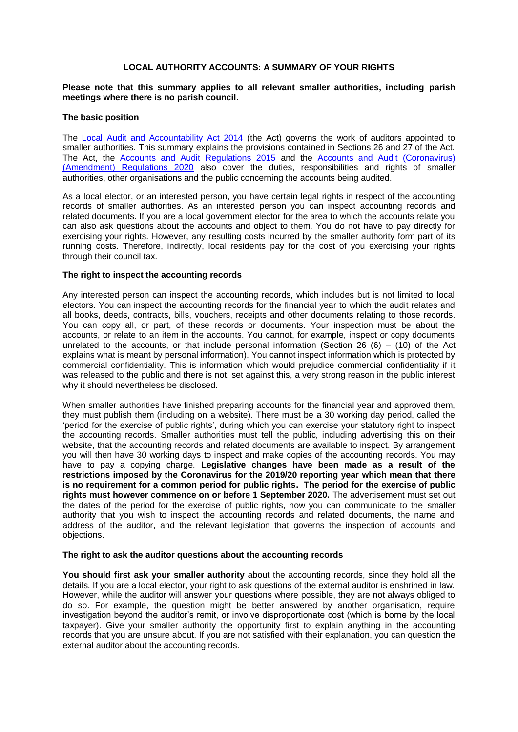#### **LOCAL AUTHORITY ACCOUNTS: A SUMMARY OF YOUR RIGHTS**

#### **Please note that this summary applies to all relevant smaller authorities, including parish meetings where there is no parish council.**

#### **The basic position**

The [Local Audit and Accountability](http://www.legislation.gov.uk/ukpga/2014/2/contents) Act 2014 (the Act) governs the work of auditors appointed to smaller authorities. This summary explains the provisions contained in Sections 26 and 27 of the Act. The Act, the [Accounts and Audit Regulations 2015](http://www.legislation.gov.uk/uksi/2015/234/contents/made) and the [Accounts and Audit \(Coronavirus\)](http://www.legislation.gov.uk/uksi/2020/404/contents/made)  [\(Amendment\) Regulations 2020](http://www.legislation.gov.uk/uksi/2020/404/contents/made) also cover the duties, responsibilities and rights of smaller authorities, other organisations and the public concerning the accounts being audited.

As a local elector, or an interested person, you have certain legal rights in respect of the accounting records of smaller authorities. As an interested person you can inspect accounting records and related documents. If you are a local government elector for the area to which the accounts relate you can also ask questions about the accounts and object to them. You do not have to pay directly for exercising your rights. However, any resulting costs incurred by the smaller authority form part of its running costs. Therefore, indirectly, local residents pay for the cost of you exercising your rights through their council tax.

#### **The right to inspect the accounting records**

Any interested person can inspect the accounting records, which includes but is not limited to local electors. You can inspect the accounting records for the financial year to which the audit relates and all books, deeds, contracts, bills, vouchers, receipts and other documents relating to those records. You can copy all, or part, of these records or documents. Your inspection must be about the accounts, or relate to an item in the accounts. You cannot, for example, inspect or copy documents unrelated to the accounts, or that include personal information (Section 26  $(6)$  –  $(10)$  of the Act explains what is meant by personal information). You cannot inspect information which is protected by commercial confidentiality. This is information which would prejudice commercial confidentiality if it was released to the public and there is not, set against this, a very strong reason in the public interest why it should nevertheless be disclosed.

When smaller authorities have finished preparing accounts for the financial year and approved them, they must publish them (including on a website). There must be a 30 working day period, called the 'period for the exercise of public rights', during which you can exercise your statutory right to inspect the accounting records. Smaller authorities must tell the public, including advertising this on their website, that the accounting records and related documents are available to inspect. By arrangement you will then have 30 working days to inspect and make copies of the accounting records. You may have to pay a copying charge. **Legislative changes have been made as a result of the restrictions imposed by the Coronavirus for the 2019/20 reporting year which mean that there is no requirement for a common period for public rights. The period for the exercise of public rights must however commence on or before 1 September 2020.** The advertisement must set out the dates of the period for the exercise of public rights, how you can communicate to the smaller authority that you wish to inspect the accounting records and related documents, the name and address of the auditor, and the relevant legislation that governs the inspection of accounts and objections.

#### **The right to ask the auditor questions about the accounting records**

**You should first ask your smaller authority** about the accounting records, since they hold all the details. If you are a local elector, your right to ask questions of the external auditor is enshrined in law. However, while the auditor will answer your questions where possible, they are not always obliged to do so. For example, the question might be better answered by another organisation, require investigation beyond the auditor's remit, or involve disproportionate cost (which is borne by the local taxpayer). Give your smaller authority the opportunity first to explain anything in the accounting records that you are unsure about. If you are not satisfied with their explanation, you can question the external auditor about the accounting records.